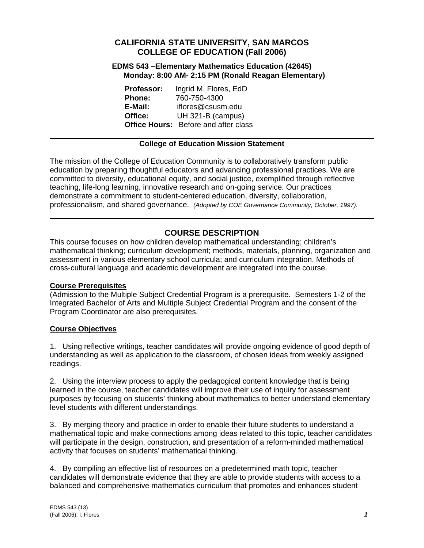# **CALIFORNIA STATE UNIVERSITY, SAN MARCOS COLLEGE OF EDUCATION (Fall 2006)**

#### **EDMS 543 –Elementary Mathematics Education (42645) Monday: 8:00 AM- 2:15 PM (Ronald Reagan Elementary)**

| <b>Professor:</b> | Ingrid M. Flores, EdD                       |
|-------------------|---------------------------------------------|
| <b>Phone:</b>     | 760-750-4300                                |
| E-Mail:           | iflores@csusm.edu                           |
| Office:           | UH 321-B (campus)                           |
|                   | <b>Office Hours:</b> Before and after class |

# **College of Education Mission Statement**

The mission of the College of Education Community is to collaboratively transform public education by preparing thoughtful educators and advancing professional practices. We are committed to diversity, educational equity, and social justice, exemplified through reflective teaching, life-long learning, innovative research and on-going service. Our practices demonstrate a commitment to student-centered education, diversity, collaboration, professionalism, and shared governance. *(Adopted by COE Governance Community, October, 1997).* 

# **COURSE DESCRIPTION**

This course focuses on how children develop mathematical understanding; children's mathematical thinking; curriculum development; methods, materials, planning, organization and assessment in various elementary school curricula; and curriculum integration. Methods of cross-cultural language and academic development are integrated into the course.

## **Course Prerequisites**

(Admission to the Multiple Subject Credential Program is a prerequisite. Semesters 1-2 of the Integrated Bachelor of Arts and Multiple Subject Credential Program and the consent of the Program Coordinator are also prerequisites.

# **Course Objectives**

1. Using reflective writings, teacher candidates will provide ongoing evidence of good depth of understanding as well as application to the classroom, of chosen ideas from weekly assigned readings.

2. Using the interview process to apply the pedagogical content knowledge that is being learned in the course, teacher candidates will improve their use of inquiry for assessment purposes by focusing on students' thinking about mathematics to better understand elementary level students with different understandings.

3. By merging theory and practice in order to enable their future students to understand a mathematical topic and make connections among ideas related to this topic, teacher candidates will participate in the design, construction, and presentation of a reform-minded mathematical activity that focuses on students' mathematical thinking.

4. By compiling an effective list of resources on a predetermined math topic, teacher candidates will demonstrate evidence that they are able to provide students with access to a balanced and comprehensive mathematics curriculum that promotes and enhances student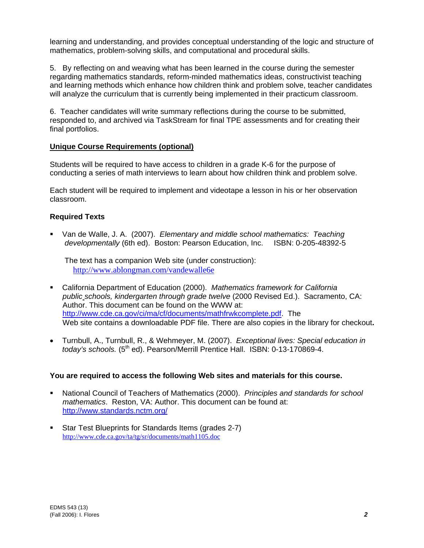learning and understanding, and provides conceptual understanding of the logic and structure of mathematics, problem-solving skills, and computational and procedural skills.

5. By reflecting on and weaving what has been learned in the course during the semester regarding mathematics standards, reform-minded mathematics ideas, constructivist teaching and learning methods which enhance how children think and problem solve, teacher candidates will analyze the curriculum that is currently being implemented in their practicum classroom.

6. Teacher candidates will write summary reflections during the course to be submitted, responded to, and archived via TaskStream for final TPE assessments and for creating their final portfolios.

# **Unique Course Requirements (optional)**

Students will be required to have access to children in a grade K-6 for the purpose of conducting a series of math interviews to learn about how children think and problem solve.

Each student will be required to implement and videotape a lesson in his or her observation classroom.

# **Required Texts**

 Van de Walle, J. A. (2007). *Elementary and middle school mathematics: Teaching developmentally* (6th ed). Boston: Pearson Education, Inc. ISBN: 0-205-48392-5

 The text has a companion Web site (under construction): http://www.ablongman.com/vandewalle6e

- California Department of Education (2000). *Mathematics framework for California public schools, kindergarten through grade twelve* (2000 Revised Ed.). Sacramento, CA: Author. This document can be found on the WWW at: http://www.cde.ca.gov/ci/ma/cf/documents/mathfrwkcomplete.pdf. The Web site contains a downloadable PDF file. There are also copies in the library for checkout**.**
- Turnbull, A., Turnbull, R., & Wehmeyer, M. (2007). *Exceptional lives: Special education in today's schools.* (5<sup>th</sup> ed). Pearson/Merrill Prentice Hall. ISBN: 0-13-170869-4.

## **You are required to access the following Web sites and materials for this course.**

- National Council of Teachers of Mathematics (2000). *Principles and standards for school mathematics*. Reston, VA: Author. This document can be found at: http://www.standards.nctm.org/
- Star Test Blueprints for Standards Items (grades 2-7) http://www.cde.ca.gov/ta/tg/sr/documents/math1105.doc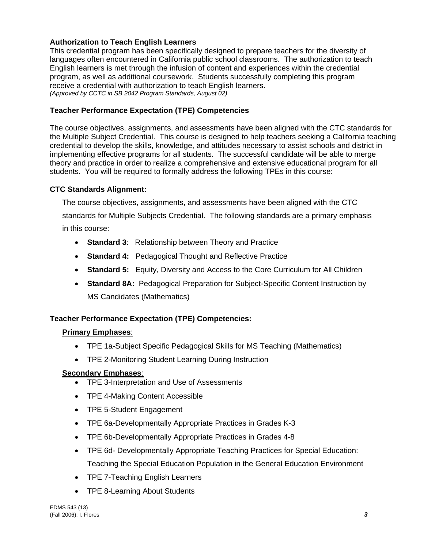# **Authorization to Teach English Learners**

This credential program has been specifically designed to prepare teachers for the diversity of languages often encountered in California public school classrooms. The authorization to teach English learners is met through the infusion of content and experiences within the credential program, as well as additional coursework. Students successfully completing this program receive a credential with authorization to teach English learners. *(Approved by CCTC in SB 2042 Program Standards, August 02)*

# **Teacher Performance Expectation (TPE) Competencies**

The course objectives, assignments, and assessments have been aligned with the CTC standards for the Multiple Subject Credential. This course is designed to help teachers seeking a California teaching credential to develop the skills, knowledge, and attitudes necessary to assist schools and district in implementing effective programs for all students. The successful candidate will be able to merge theory and practice in order to realize a comprehensive and extensive educational program for all students. You will be required to formally address the following TPEs in this course:

# **CTC Standards Alignment:**

The course objectives, assignments, and assessments have been aligned with the CTC standards for Multiple Subjects Credential. The following standards are a primary emphasis in this course:

- **Standard 3**: Relationship between Theory and Practice
- **Standard 4:** Pedagogical Thought and Reflective Practice
- **Standard 5:** Equity, Diversity and Access to the Core Curriculum for All Children
- **Standard 8A:** Pedagogical Preparation for Subject-Specific Content Instruction by MS Candidates (Mathematics)

# **Teacher Performance Expectation (TPE) Competencies:**

# **Primary Emphases**:

- TPE 1a-Subject Specific Pedagogical Skills for MS Teaching (Mathematics)
- TPE 2-Monitoring Student Learning During Instruction

# **Secondary Emphases**:

- TPE 3-Interpretation and Use of Assessments
- TPE 4-Making Content Accessible
- TPE 5-Student Engagement
- TPE 6a-Developmentally Appropriate Practices in Grades K-3
- TPE 6b-Developmentally Appropriate Practices in Grades 4-8
- TPE 6d- Developmentally Appropriate Teaching Practices for Special Education: Teaching the Special Education Population in the General Education Environment
- TPE 7-Teaching English Learners
- TPE 8-Learning About Students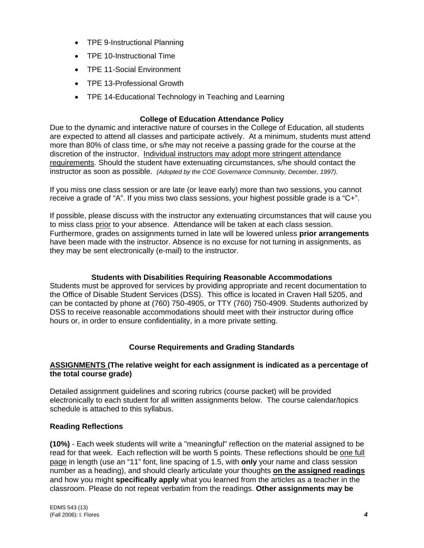- TPE 9-Instructional Planning
- TPE 10-Instructional Time
- TPE 11-Social Environment
- TPE 13-Professional Growth
- TPE 14-Educational Technology in Teaching and Learning

# **College of Education Attendance Policy**

Due to the dynamic and interactive nature of courses in the College of Education, all students are expected to attend all classes and participate actively. At a minimum, students must attend more than 80% of class time, or s/he may not receive a passing grade for the course at the discretion of the instructor. Individual instructors may adopt more stringent attendance requirements. Should the student have extenuating circumstances, s/he should contact the instructor as soon as possible. *(Adopted by the COE Governance Community, December, 1997).*

If you miss one class session or are late (or leave early) more than two sessions, you cannot receive a grade of "A". If you miss two class sessions, your highest possible grade is a "C+".

If possible, please discuss with the instructor any extenuating circumstances that will cause you to miss class prior to your absence. Attendance will be taken at each class session. Furthermore, grades on assignments turned in late will be lowered unless **prior arrangements**  have been made with the instructor. Absence is no excuse for not turning in assignments, as they may be sent electronically (e-mail) to the instructor.

## **Students with Disabilities Requiring Reasonable Accommodations**

Students must be approved for services by providing appropriate and recent documentation to the Office of Disable Student Services (DSS). This office is located in Craven Hall 5205, and can be contacted by phone at (760) 750-4905, or TTY (760) 750-4909. Students authorized by DSS to receive reasonable accommodations should meet with their instructor during office hours or, in order to ensure confidentiality, in a more private setting.

## **Course Requirements and Grading Standards**

#### **ASSIGNMENTS (The relative weight for each assignment is indicated as a percentage of the total course grade)**

Detailed assignment guidelines and scoring rubrics (course packet) will be provided electronically to each student for all written assignments below. The course calendar/topics schedule is attached to this syllabus.

## **Reading Reflections**

**(10%)** - Each week students will write a "meaningful" reflection on the material assigned to be read for that week. Each reflection will be worth 5 points. These reflections should be one full page in length (use an "11" font, line spacing of 1.5, with **only** your name and class session number as a heading), and should clearly articulate your thoughts **on the assigned readings** and how you might **specifically apply** what you learned from the articles as a teacher in the classroom. Please do not repeat verbatim from the readings. **Other assignments may be**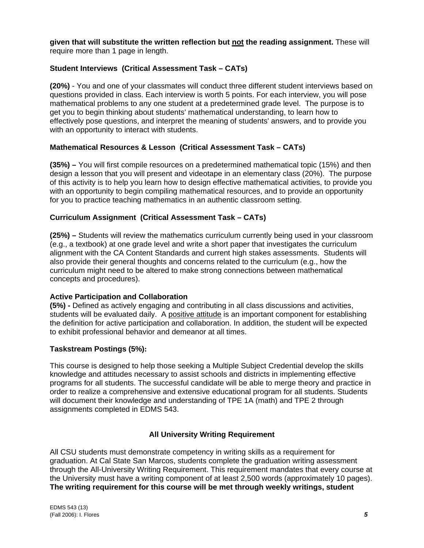**given that will substitute the written reflection but not the reading assignment.** These will require more than 1 page in length.

# **Student Interviews (Critical Assessment Task – CATs)**

**(20%)** - You and one of your classmates will conduct three different student interviews based on questions provided in class. Each interview is worth 5 points. For each interview, you will pose mathematical problems to any one student at a predetermined grade level. The purpose is to get you to begin thinking about students' mathematical understanding, to learn how to effectively pose questions, and interpret the meaning of students' answers, and to provide you with an opportunity to interact with students.

## **Mathematical Resources & Lesson (Critical Assessment Task – CATs)**

**(35%) –** You will first compile resources on a predetermined mathematical topic (15%) and then design a lesson that you will present and videotape in an elementary class (20%). The purpose of this activity is to help you learn how to design effective mathematical activities, to provide you with an opportunity to begin compiling mathematical resources, and to provide an opportunity for you to practice teaching mathematics in an authentic classroom setting.

## **Curriculum Assignment (Critical Assessment Task – CATs)**

**(25%) –** Students will review the mathematics curriculum currently being used in your classroom (e.g., a textbook) at one grade level and write a short paper that investigates the curriculum alignment with the CA Content Standards and current high stakes assessments. Students will also provide their general thoughts and concerns related to the curriculum (e.g., how the curriculum might need to be altered to make strong connections between mathematical concepts and procedures).

## **Active Participation and Collaboration**

**(5%) -** Defined as actively engaging and contributing in all class discussions and activities, students will be evaluated daily. A positive attitude is an important component for establishing the definition for active participation and collaboration. In addition, the student will be expected to exhibit professional behavior and demeanor at all times.

## **Taskstream Postings (5%):**

This course is designed to help those seeking a Multiple Subject Credential develop the skills knowledge and attitudes necessary to assist schools and districts in implementing effective programs for all students. The successful candidate will be able to merge theory and practice in order to realize a comprehensive and extensive educational program for all students. Students will document their knowledge and understanding of TPE 1A (math) and TPE 2 through assignments completed in EDMS 543.

# **All University Writing Requirement**

All CSU students must demonstrate competency in writing skills as a requirement for graduation. At Cal State San Marcos, students complete the graduation writing assessment through the All-University Writing Requirement. This requirement mandates that every course at the University must have a writing component of at least 2,500 words (approximately 10 pages). **The writing requirement for this course will be met through weekly writings, student**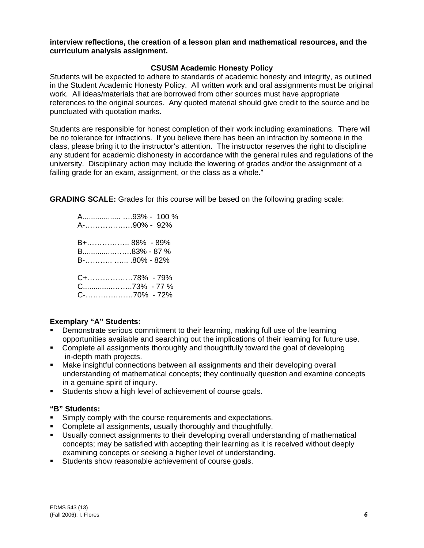#### **interview reflections, the creation of a lesson plan and mathematical resources, and the curriculum analysis assignment.**

#### **CSUSM Academic Honesty Policy**

Students will be expected to adhere to standards of academic honesty and integrity, as outlined in the Student Academic Honesty Policy. All written work and oral assignments must be original work. All ideas/materials that are borrowed from other sources must have appropriate references to the original sources. Any quoted material should give credit to the source and be punctuated with quotation marks.

Students are responsible for honest completion of their work including examinations. There will be no tolerance for infractions. If you believe there has been an infraction by someone in the class, please bring it to the instructor's attention. The instructor reserves the right to discipline any student for academic dishonesty in accordance with the general rules and regulations of the university. Disciplinary action may include the lowering of grades and/or the assignment of a failing grade for an exam, assignment, or the class as a whole."

**GRADING SCALE:** Grades for this course will be based on the following grading scale:

 A.................. ….93% - 100 % A-…………….…90% - 92% B+…………….. 88% - 89% B...............…….83% - 87 % B-……….. …... .80% - 82% C+………………78% - 79% C..............……..73% - 77 % C-………….……70% - 72%

## **Exemplary "A" Students:**

- Demonstrate serious commitment to their learning, making full use of the learning opportunities available and searching out the implications of their learning for future use.
- Complete all assignments thoroughly and thoughtfully toward the goal of developing in-depth math projects.
- Make insightful connections between all assignments and their developing overall understanding of mathematical concepts; they continually question and examine concepts in a genuine spirit of inquiry.
- Students show a high level of achievement of course goals.

# **"B" Students:**

- **Simply comply with the course requirements and expectations.**
- Complete all assignments, usually thoroughly and thoughtfully.
- Usually connect assignments to their developing overall understanding of mathematical concepts; may be satisfied with accepting their learning as it is received without deeply examining concepts or seeking a higher level of understanding.
- Students show reasonable achievement of course goals.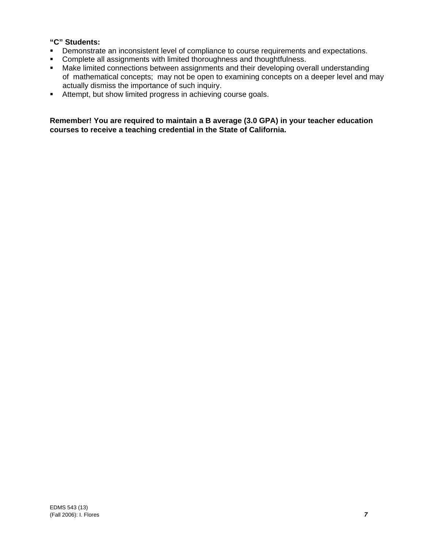# **"C" Students:**

- **•** Demonstrate an inconsistent level of compliance to course requirements and expectations.
- **Complete all assignments with limited thoroughness and thoughtfulness.**
- **Make limited connections between assignments and their developing overall understanding**  of mathematical concepts; may not be open to examining concepts on a deeper level and may actually dismiss the importance of such inquiry.
- Attempt, but show limited progress in achieving course goals.

**Remember! You are required to maintain a B average (3.0 GPA) in your teacher education courses to receive a teaching credential in the State of California.**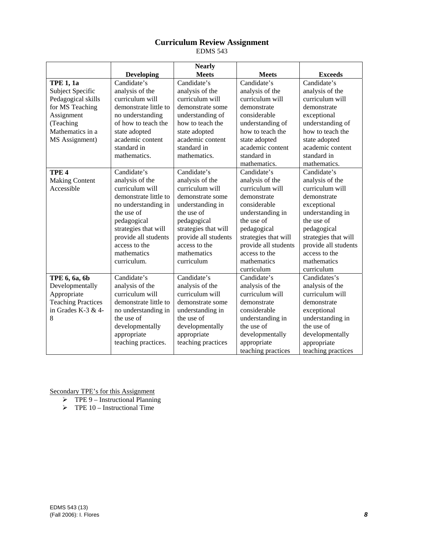# **Curriculum Review Assignment**

EDMS 543

|                           |                       | <b>Nearly</b>        |                      |                      |
|---------------------------|-----------------------|----------------------|----------------------|----------------------|
|                           | <b>Developing</b>     | <b>Meets</b>         | <b>Meets</b>         | <b>Exceeds</b>       |
| <b>TPE 1, 1a</b>          | Candidate's           | Candidate's          | Candidate's          | Candidate's          |
| Subject Specific          | analysis of the       | analysis of the      | analysis of the      | analysis of the      |
| Pedagogical skills        | curriculum will       | curriculum will      | curriculum will      | curriculum will      |
| for MS Teaching           | demonstrate little to | demonstrate some     | demonstrate          | demonstrate          |
| Assignment                | no understanding      | understanding of     | considerable         | exceptional          |
| (Teaching                 | of how to teach the   | how to teach the     | understanding of     | understanding of     |
| Mathematics in a          | state adopted         | state adopted        | how to teach the     | how to teach the     |
| MS Assignment)            | academic content      | academic content     | state adopted        | state adopted        |
|                           | standard in           | standard in          | academic content     | academic content     |
|                           | mathematics.          | mathematics.         | standard in          | standard in          |
|                           |                       |                      | mathematics.         | mathematics.         |
| TPE <sub>4</sub>          | Candidate's           | Candidate's          | Candidate's          | Candidate's          |
| <b>Making Content</b>     | analysis of the       | analysis of the      | analysis of the      | analysis of the      |
| Accessible                | curriculum will       | curriculum will      | curriculum will      | curriculum will      |
|                           | demonstrate little to | demonstrate some     | demonstrate          | demonstrate          |
|                           | no understanding in   | understanding in     | considerable         | exceptional          |
|                           | the use of            | the use of           | understanding in     | understanding in     |
|                           | pedagogical           | pedagogical          | the use of           | the use of           |
|                           | strategies that will  | strategies that will | pedagogical          | pedagogical          |
|                           | provide all students  | provide all students | strategies that will | strategies that will |
|                           | access to the         | access to the        | provide all students | provide all students |
|                           | mathematics           | mathematics          | access to the        | access to the        |
|                           | curriculum.           | curriculum           | mathematics          | mathematics          |
|                           |                       |                      | curriculum           | curriculum           |
| TPE 6, 6a, 6b             | Candidate's           | Candidate's          | Candidate's          | Candidates's         |
| Developmentally           | analysis of the       | analysis of the      | analysis of the      | analysis of the      |
| Appropriate               | curriculum will       | curriculum will      | curriculum will      | curriculum will      |
| <b>Teaching Practices</b> | demonstrate little to | demonstrate some     | demonstrate          | demonstrate          |
| in Grades K-3 & 4-        | no understanding in   | understanding in     | considerable         | exceptional          |
| 8                         | the use of            | the use of           | understanding in     | understanding in     |
|                           | developmentally       | developmentally      | the use of           | the use of           |
|                           | appropriate           | appropriate          | developmentally      | developmentally      |
|                           | teaching practices.   | teaching practices   | appropriate          | appropriate          |
|                           |                       |                      | teaching practices   | teaching practices   |

Secondary TPE's for this Assignment

- $\triangleright$  TPE 9 Instructional Planning
- $\triangleright$  TPE 10 Instructional Time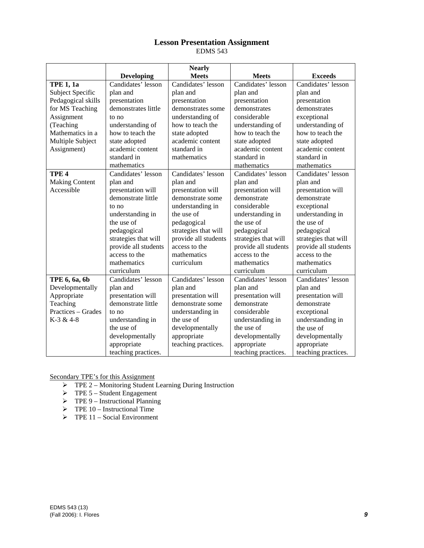# **Lesson Presentation Assignment**

EDMS 543

|                       |                      | <b>Nearly</b>        |                      |                      |
|-----------------------|----------------------|----------------------|----------------------|----------------------|
|                       | <b>Developing</b>    | <b>Meets</b>         | <b>Meets</b>         | <b>Exceeds</b>       |
| <b>TPE 1, 1a</b>      | Candidates' lesson   | Candidates' lesson   | Candidates' lesson   | Candidates' lesson   |
| Subject Specific      | plan and             | plan and             | plan and             | plan and             |
| Pedagogical skills    | presentation         | presentation         | presentation         | presentation         |
| for MS Teaching       | demonstrates little  | demonstrates some    | demonstrates         | demonstrates         |
| Assignment            | to no                | understanding of     | considerable         | exceptional          |
| (Teaching             | understanding of     | how to teach the     | understanding of     | understanding of     |
| Mathematics in a      | how to teach the     | state adopted        | how to teach the     | how to teach the     |
| Multiple Subject      | state adopted        | academic content     | state adopted        | state adopted        |
| Assignment)           | academic content     | standard in          | academic content     | academic content     |
|                       | standard in          | mathematics          | standard in          | standard in          |
|                       | mathematics          |                      | mathematics          | mathematics          |
| TPE <sub>4</sub>      | Candidates' lesson   | Candidates' lesson   | Candidates' lesson   | Candidates' lesson   |
| <b>Making Content</b> | plan and             | plan and             | plan and             | plan and             |
| Accessible            | presentation will    | presentation will    | presentation will    | presentation will    |
|                       | demonstrate little   | demonstrate some     | demonstrate          | demonstrate          |
|                       | to no                | understanding in     | considerable         | exceptional          |
|                       | understanding in     | the use of           | understanding in     | understanding in     |
|                       | the use of           | pedagogical          | the use of           | the use of           |
|                       | pedagogical          | strategies that will | pedagogical          | pedagogical          |
|                       | strategies that will | provide all students | strategies that will | strategies that will |
|                       | provide all students | access to the        | provide all students | provide all students |
|                       | access to the        | mathematics          | access to the        | access to the        |
|                       | mathematics          | curriculum           | mathematics          | mathematics          |
|                       | curriculum           |                      | curriculum           | curriculum           |
| TPE 6, 6a, 6b         | Candidates' lesson   | Candidates' lesson   | Candidates' lesson   | Candidates' lesson   |
| Developmentally       | plan and             | plan and             | plan and             | plan and             |
| Appropriate           | presentation will    | presentation will    | presentation will    | presentation will    |
| Teaching              | demonstrate little   | demonstrate some     | demonstrate          | demonstrate          |
| Practices – Grades    | to no                | understanding in     | considerable         | exceptional          |
| K-3 & 4-8             | understanding in     | the use of           | understanding in     | understanding in     |
|                       | the use of           | developmentally      | the use of           | the use of           |
|                       | developmentally      | appropriate          | developmentally      | developmentally      |
|                       | appropriate          | teaching practices.  | appropriate          | appropriate          |
|                       | teaching practices.  |                      | teaching practices.  | teaching practices.  |

Secondary TPE's for this Assignment

- ¾ TPE 2 Monitoring Student Learning During Instruction
- $\triangleright$  TPE 5 Student Engagement
- $\triangleright$  TPE 9 Instructional Planning
- $\triangleright$  TPE 10 Instructional Time
- $\triangleright$  TPE 11 Social Environment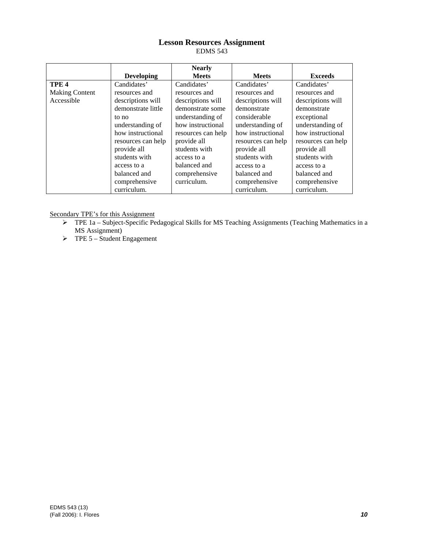# **Lesson Resources Assignment**

EDMS 543

|                       |                    | <b>Nearly</b>      |                    |                    |
|-----------------------|--------------------|--------------------|--------------------|--------------------|
|                       | <b>Developing</b>  | <b>Meets</b>       | <b>Meets</b>       | <b>Exceeds</b>     |
| TPE <sub>4</sub>      | Candidates'        | Candidates'        | Candidates'        | Candidates'        |
| <b>Making Content</b> | resources and      | resources and      | resources and      | resources and      |
| Accessible            | descriptions will  | descriptions will  | descriptions will  | descriptions will  |
|                       | demonstrate little | demonstrate some   | demonstrate        | demonstrate        |
|                       | to no              | understanding of   | considerable       | exceptional        |
|                       | understanding of   | how instructional  | understanding of   | understanding of   |
|                       | how instructional  | resources can help | how instructional  | how instructional  |
|                       | resources can help | provide all        | resources can help | resources can help |
|                       | provide all        | students with      | provide all        | provide all        |
|                       | students with      | access to a        | students with      | students with      |
|                       | access to a        | balanced and       | access to a        | access to a        |
|                       | balanced and       | comprehensive      | balanced and       | balanced and       |
|                       | comprehensive      | curriculum.        | comprehensive      | comprehensive      |
|                       | curriculum.        |                    | curriculum.        | curriculum.        |

Secondary TPE's for this Assignment

- ¾ TPE 1a Subject-Specific Pedagogical Skills for MS Teaching Assignments (Teaching Mathematics in a MS Assignment)
- $\triangleright$  TPE 5 Student Engagement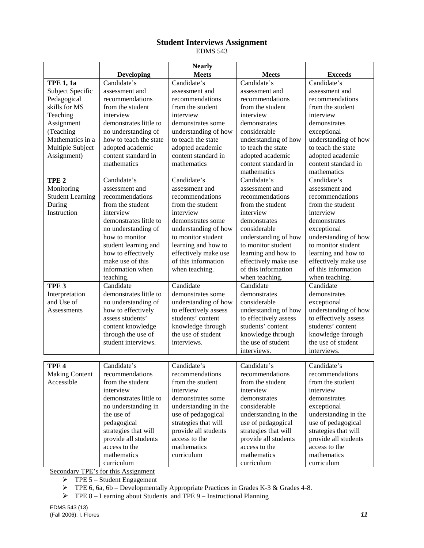# **Student Interviews Assignment**

EDMS 543

|                         |                        | <b>Nearly</b>         |                       |                       |
|-------------------------|------------------------|-----------------------|-----------------------|-----------------------|
|                         | <b>Developing</b>      | <b>Meets</b>          | <b>Meets</b>          | <b>Exceeds</b>        |
| <b>TPE 1, 1a</b>        | Candidate's            | Candidate's           | Candidate's           | Candidate's           |
| Subject Specific        | assessment and         | assessment and        | assessment and        | assessment and        |
| Pedagogical             | recommendations        | recommendations       | recommendations       | recommendations       |
| skills for MS           | from the student       | from the student      | from the student      | from the student      |
| Teaching                | interview              | interview             | interview             | interview             |
| Assignment              | demonstrates little to | demonstrates some     | demonstrates          | demonstrates          |
| (Teaching               | no understanding of    | understanding of how  | considerable          | exceptional           |
| Mathematics in a        | how to teach the state | to teach the state    | understanding of how  | understanding of how  |
| Multiple Subject        | adopted academic       | adopted academic      | to teach the state    | to teach the state    |
| Assignment)             | content standard in    | content standard in   | adopted academic      | adopted academic      |
|                         | mathematics            | mathematics           | content standard in   | content standard in   |
|                         |                        |                       | mathematics           | mathematics           |
| TPE <sub>2</sub>        | Candidate's            | Candidate's           | Candidate's           | Candidate's           |
| Monitoring              | assessment and         | assessment and        | assessment and        | assessment and        |
| <b>Student Learning</b> | recommendations        | recommendations       | recommendations       | recommendations       |
| During                  | from the student       | from the student      | from the student      | from the student      |
| Instruction             | interview              | interview             | interview             | interview             |
|                         | demonstrates little to | demonstrates some     | demonstrates          | demonstrates          |
|                         | no understanding of    | understanding of how  | considerable          | exceptional           |
|                         | how to monitor         | to monitor student    | understanding of how  | understanding of how  |
|                         | student learning and   | learning and how to   | to monitor student    | to monitor student    |
|                         | how to effectively     | effectively make use  | learning and how to   | learning and how to   |
|                         | make use of this       | of this information   | effectively make use  | effectively make use  |
|                         | information when       | when teaching.        | of this information   | of this information   |
|                         | teaching.              |                       | when teaching.        | when teaching.        |
| TPE <sub>3</sub>        | Candidate              | Candidate             | Candidate             | Candidate             |
| Interpretation          | demonstrates little to | demonstrates some     | demonstrates          | demonstrates          |
| and Use of              | no understanding of    | understanding of how  | considerable          | exceptional           |
| Assessments             | how to effectively     | to effectively assess | understanding of how  | understanding of how  |
|                         | assess students'       | students' content     | to effectively assess | to effectively assess |
|                         | content knowledge      | knowledge through     | students' content     | students' content     |
|                         | through the use of     | the use of student    | knowledge through     | knowledge through     |
|                         | student interviews.    | interviews.           | the use of student    | the use of student    |
|                         |                        |                       | interviews.           | interviews.           |
|                         |                        |                       |                       |                       |
| TPE <sub>4</sub>        | Candidate's            | Candidate's           | Candidate's           | Candidate's           |
| <b>Making Content</b>   | recommendations        | recommendations       | recommendations       | recommendations       |
| Accessible              | from the student       | from the student      | from the student      | from the student      |
|                         | interview              | interview             | interview             | interview             |
|                         | demonstrates little to | demonstrates some     | demonstrates          | demonstrates          |
|                         | no understanding in    | understanding in the  | considerable          | exceptional           |
|                         | the use of             | use of pedagogical    | understanding in the  | understanding in the  |
|                         | pedagogical            | strategies that will  | use of pedagogical    | use of pedagogical    |
|                         | strategies that will   | provide all students  | strategies that will  | strategies that will  |
|                         | provide all students   | access to the         | provide all students  | provide all students  |
|                         | access to the          | mathematics           | access to the         | access to the         |
|                         | mathematics            | curriculum            | mathematics           | mathematics           |
|                         | curriculum             |                       | curriculum            | curriculum            |

Secondary TPE's for this Assignment

 $\triangleright$  TPE 5 – Student Engagement

 $\triangleright$  TPE 6, 6a, 6b – Developmentally Appropriate Practices in Grades K-3 & Grades 4-8.

¾ TPE 8 – Learning about Students and TPE 9 – Instructional Planning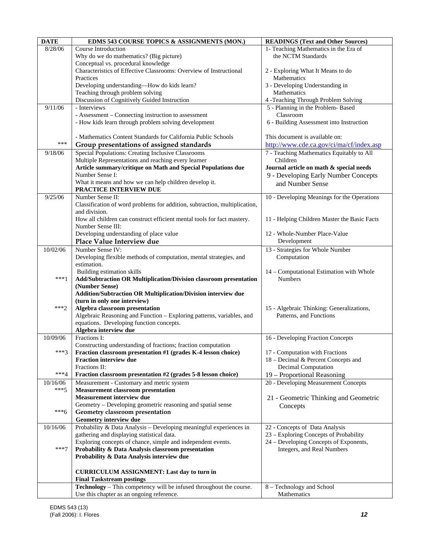| <b>DATE</b> | EDMS 543 COURSE TOPICS & ASSIGNMENTS (MON.)                                                             | <b>READINGS (Text and Other Sources)</b>     |
|-------------|---------------------------------------------------------------------------------------------------------|----------------------------------------------|
| 8/28/06     | Course Introduction                                                                                     | 1- Teaching Mathematics in the Era of        |
|             | Why do we do mathematics? (Big picture)                                                                 | the NCTM Standards                           |
|             | Conceptual vs. procedural knowledge                                                                     |                                              |
|             | Characteristics of Effective Classrooms: Overview of Instructional                                      | 2 - Exploring What It Means to do            |
|             | Practices                                                                                               | <b>Mathematics</b>                           |
|             | Developing understanding-How do kids learn?                                                             | 3 - Developing Understanding in              |
|             | Teaching through problem solving                                                                        | Mathematics                                  |
|             | Discussion of Cognitively Guided Instruction                                                            | 4 -Teaching Through Problem Solving          |
| 9/11/06     | - Interviews                                                                                            | 5 - Planning in the Problem-Based            |
|             | - Assessment – Connecting instruction to assessment                                                     | Classroom                                    |
|             | - How kids learn through problem solving development                                                    | 6 - Building Assessment into Instruction     |
|             |                                                                                                         |                                              |
| ***         | - Mathematics Content Standards for California Public Schools                                           | This document is available on:               |
|             | Group presentations of assigned standards                                                               | http://www.cde.ca.gov/ci/ma/cf/index.asp     |
| 9/18/06     | Special Populations: Creating Inclusive Classrooms                                                      | 7 - Teaching Mathematics Equitably to All    |
|             | Multiple Representations and reaching every learner                                                     | Children                                     |
|             | Article summary/critique on Math and Special Populations due                                            | Journal article on math & special needs      |
|             | Number Sense I:                                                                                         | 9 - Developing Early Number Concepts         |
|             | What it means and how we can help children develop it.                                                  | and Number Sense                             |
| 9/25/06     | PRACTICE INTERVIEW DUE<br>Number Sense II:                                                              |                                              |
|             | Classification of word problems for addition, subtraction, multiplication,                              | 10 - Developing Meanings for the Operations  |
|             | and division.                                                                                           |                                              |
|             | How all children can construct efficient mental tools for fact mastery.                                 | 11 - Helping Children Master the Basic Facts |
|             | Number Sense III:                                                                                       |                                              |
|             | Developing understanding of place value                                                                 | 12 - Whole-Number Place-Value                |
|             | Place Value Interview due                                                                               | Development                                  |
| 10/02/06    | Number Sense IV:                                                                                        | 13 - Strategies for Whole Number             |
|             | Developing flexible methods of computation, mental strategies, and                                      | Computation                                  |
|             | estimation.                                                                                             |                                              |
|             | Building estimation skills                                                                              | 14 - Computational Estimation with Whole     |
| $***1$      | Add/Subtraction OR Multiplication/Division classroom presentation                                       | <b>Numbers</b>                               |
|             | (Number Sense)                                                                                          |                                              |
|             | Addition/Subtraction OR Multiplication/Division interview due                                           |                                              |
| $***2$      | (turn in only one interview)                                                                            |                                              |
|             | Algebra classroom presentation<br>Algebraic Reasoning and Function – Exploring patterns, variables, and | 15 - Algebraic Thinking: Generalizations,    |
|             | equations. Developing function concepts.                                                                | Patterns, and Functions                      |
|             | Algebra interview due                                                                                   |                                              |
| 10/09/06    | Fractions I:                                                                                            | 16 - Developing Fraction Concepts            |
|             | Constructing understanding of fractions; fraction computation                                           |                                              |
| $***3$      | Fraction classroom presentation #1 (grades K-4 lesson choice)                                           | 17 - Computation with Fractions              |
|             | <b>Fraction interview due</b>                                                                           | 18 - Decimal & Percent Concepts and          |
|             | Fractions II:                                                                                           | Decimal Computation                          |
| ***4        | Fraction classroom presentation #2 (grades 5-8 lesson choice)                                           | 19 – Proportional Reasoning                  |
| 10/16/06    | Measurement - Customary and metric system                                                               | 20 - Developing Measurement Concepts         |
| $***5$      | <b>Measurement classroom presentation</b>                                                               |                                              |
|             | Measurement interview due                                                                               | 21 - Geometric Thinking and Geometric        |
|             | Geometry - Developing geometric reasoning and spatial sense                                             | Concepts                                     |
| $***6$      | Geometry classroom presentation                                                                         |                                              |
|             | Geometry interview due                                                                                  |                                              |
| 10/16/06    | Probability & Data Analysis - Developing meaningful experiences in                                      | 22 - Concepts of Data Analysis               |
|             | gathering and displaying statistical data.                                                              | 23 – Exploring Concepts of Probability       |
| $***7$      | Exploring concepts of chance, simple and independent events.                                            | 24 – Developing Concepts of Exponents,       |
|             | Probability & Data Analysis classroom presentation                                                      | Integers, and Real Numbers                   |
|             | Probability & Data Analysis interview due                                                               |                                              |
|             | <b>CURRICULUM ASSIGNMENT: Last day to turn in</b>                                                       |                                              |
|             | <b>Final Taskstream postings</b>                                                                        |                                              |
|             | Technology - This competency will be infused throughout the course.                                     | 8 - Technology and School                    |
|             | Use this chapter as an ongoing reference.                                                               | Mathematics                                  |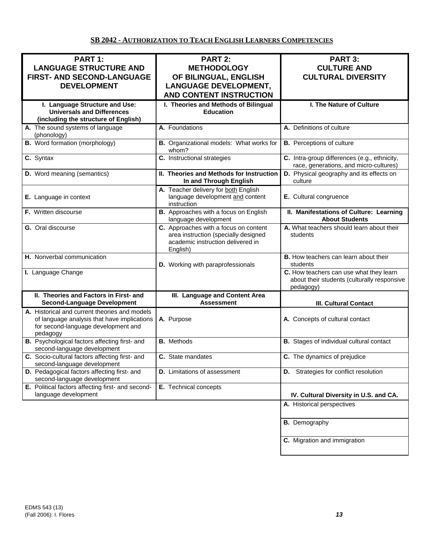# **SB 2042 - AUTHORIZATION TO TEACH ENGLISH LEARNERS COMPETENCIES**

| PART 1:<br><b>LANGUAGE STRUCTURE AND</b><br>FIRST- AND SECOND-LANGUAGE<br><b>DEVELOPMENT</b>                                                    | <b>PART 2:</b><br><b>METHODOLOGY</b><br>OF BILINGUAL, ENGLISH<br><b>LANGUAGE DEVELOPMENT,</b><br><b>AND CONTENT INSTRUCTION</b> | PART 3:<br><b>CULTURE AND</b><br><b>CULTURAL DIVERSITY</b>                                          |
|-------------------------------------------------------------------------------------------------------------------------------------------------|---------------------------------------------------------------------------------------------------------------------------------|-----------------------------------------------------------------------------------------------------|
| I. Language Structure and Use:<br><b>Universals and Differences</b><br>(including the structure of English)                                     | I. Theories and Methods of Bilingual<br><b>Education</b>                                                                        | I. The Nature of Culture                                                                            |
| A. The sound systems of language<br>(phonology)                                                                                                 | A. Foundations                                                                                                                  | A. Definitions of culture                                                                           |
| <b>B.</b> Word formation (morphology)                                                                                                           | B. Organizational models: What works for<br>whom?                                                                               | <b>B.</b> Perceptions of culture                                                                    |
| C. Syntax                                                                                                                                       | C. Instructional strategies                                                                                                     | C. Intra-group differences (e.g., ethnicity,<br>race, generations, and micro-cultures)              |
| D. Word meaning (semantics)                                                                                                                     | II. Theories and Methods for Instruction<br>In and Through English                                                              | D. Physical geography and its effects on<br>culture                                                 |
| E. Language in context                                                                                                                          | A. Teacher delivery for both English<br>language development and content<br>instruction                                         | E. Cultural congruence                                                                              |
| F. Written discourse                                                                                                                            | B. Approaches with a focus on English<br>language development                                                                   | II. Manifestations of Culture: Learning<br><b>About Students</b>                                    |
| G. Oral discourse                                                                                                                               | C. Approaches with a focus on content<br>area instruction (specially designed<br>academic instruction delivered in<br>English)  | A. What teachers should learn about their<br>students                                               |
| H. Nonverbal communication                                                                                                                      | D. Working with paraprofessionals                                                                                               | <b>B.</b> How teachers can learn about their<br>students                                            |
| I. Language Change                                                                                                                              |                                                                                                                                 | C. How teachers can use what they learn<br>about their students (culturally responsive<br>pedagogy) |
| II. Theories and Factors in First- and<br><b>Second-Language Development</b>                                                                    | III. Language and Content Area<br><b>Assessment</b>                                                                             | <b>III. Cultural Contact</b>                                                                        |
| A. Historical and current theories and models<br>of language analysis that have implications<br>for second-language development and<br>pedagogy | A. Purpose                                                                                                                      | A. Concepts of cultural contact                                                                     |
| B. Psychological factors affecting first- and<br>second-language development                                                                    | <b>B.</b> Methods                                                                                                               | <b>B.</b> Stages of individual cultural contact                                                     |
| C. Socio-cultural factors affecting first- and<br>second-language development                                                                   | C. State mandates                                                                                                               | C. The dynamics of prejudice                                                                        |
| D. Pedagogical factors affecting first- and<br>second-language development                                                                      | <b>D.</b> Limitations of assessment                                                                                             | <b>D.</b> Strategies for conflict resolution                                                        |
| E. Political factors affecting first- and second-<br>language development                                                                       | E. Technical concepts                                                                                                           | IV. Cultural Diversity in U.S. and CA.                                                              |
|                                                                                                                                                 |                                                                                                                                 | A. Historical perspectives                                                                          |
|                                                                                                                                                 |                                                                                                                                 | <b>B.</b> Demography                                                                                |
|                                                                                                                                                 |                                                                                                                                 | C. Migration and immigration                                                                        |